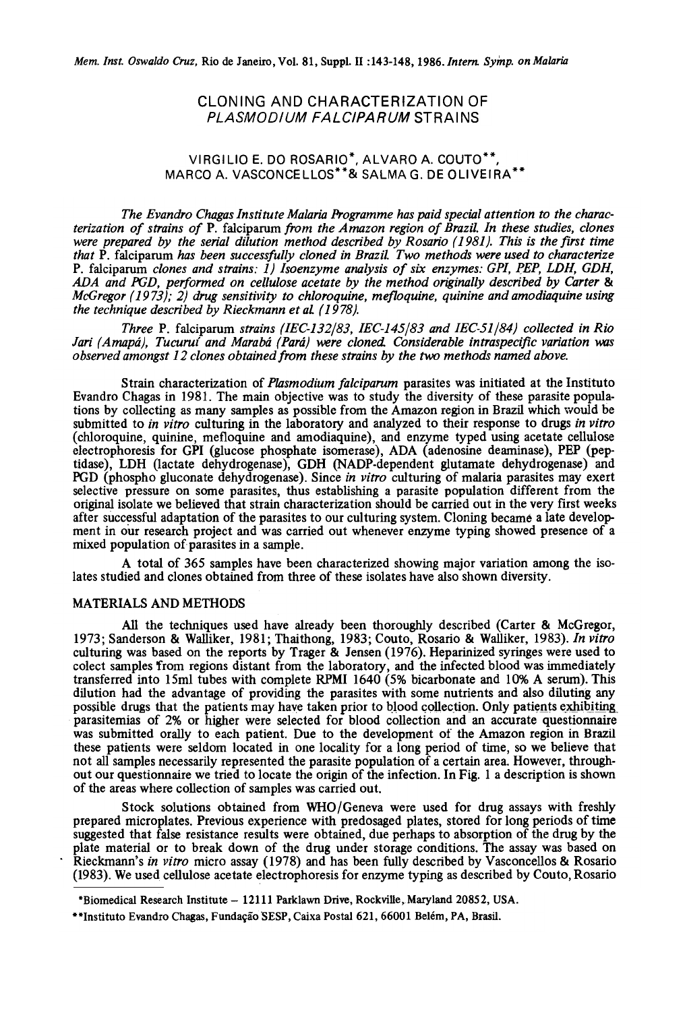# CLONING ANO CHARACTERIZATION OF PLASMODIUM FALCIPARUM STRAINS

# VIRGILIO E. DO ROSARIO\*, ALVARO A. COUTO\*\*, MARCO A. VASCONCELLOS\*\*& SALMA G. DE OLIVEIRA \*\*

The Evandro Chagas lnstitute Malaria Programme has paid special attention to the characterization of strains of P. falciparum from the Amazon region of Brazil. ln these studies, clones were prepared by the serial dilution method described by Rosario (1981). This is the first time that P. falciparum has been successfully cloned in Brazil Two methods were used to characterize P. falciparum clones and strains: 1) Isoenzyme analysis of six enzymes: GPI, PEP, LDH, GDH, ADA and PGD, performed on cellulose acetate by the method originally described by Carter & McGregor (1973); 2) drug sensitivity to chloroquine, mefloquine, quinine and amodiaquine using the technique described by Rieckmann et al (1978).

Three P. falciparum strains (IEC-132/83, IEC-145/83 and IEC-51/84) collected in Rio Jari (Amapá), Tucuruí and Marabá (Pará) were cloned. Considerable intraspecific variation was observed amongst 12 clones obtained from these strains by the two methods named above.

Strain characterization of *Plasmodium falciparum* parasites was initiated at the Instituto Evandro Chagas in 1981. The main objective was to study the diversity of these parasite populations by collecting as many samples as possible from the Amazon region in Brazil which would be submitted to in vitro culturing in the laboratory and analyzed to their response to drugs in vitro (chIoroquine, quinine, mefloquine and amodiaquine), and enzyme typed using acetate cellulose electrophoresis for GPI (glucose phosphate isomerase), ADA (adenosine deaminase), PEP (peptidase), LDH (lactate dehydrogenase), GDH (NADP-dependent glutamate dehydrogenase) and PGD (phospho gluconate dehydrogenase). Since in vitro culturing of malaria parasites may exert selective pressure on some parasites, thus establishing a parasite population different from the original isolate we believed that strain characterization should be carried out in the very first weeks after successful adaptation of the parasites to our culturing system. Cloning becamé a late development in our research project and was carried out whenever enzyme typing showed presence of a mixed population of parasites in a sample.

A total of 365 samples have been characterized showing major variation among the isolates studied and clones obtained from three of these isolates have also shown diversity.

### **MATERIALS AND METHODS**

MATERIALS AND METHODS<br>All the techniques used have already been thoroughly described (Carter & McGregor, 1973; Sanderson & Walliker, 1981; Thaithong, 1983; Couto, Rosario & Walliker, 1983). In vitro culturing was based on the reports by Trager & Jensen (1976). Heparinized syringes were used to colect samples 'from regions distant from the laboratory, and the infected blood was immediately transferred into 15ml tubes with complete RPMI 1640 (5% bicarbonate and 10% A serum). This dilution had the advantage of providing the parasites with some nutrients and also diluting any dilution had the advantage of providing the parasites with some nutrients and also diluting any possible drugs that the patients may have taken prior to blood collection. Only patients exhibiting parasitemias of 2% or higher were selected for blood collection and an accurate questionnaire parasitemias of 2% or higher were selected for blood collection and an accurate questionnaire was submitted orally to each patient. Due to the development of the Amazon region in Brazil these patients were seldom located in one locality for a long period of time, so we believe that not alI samples necessarily represented the parasite population of a certain area. However, through-not alI samples necessarily represented the parasite population of a certain area. However, throughout our questionnaire we tried to locate the origin of the infection. In Fig. 1 a description is shown out our questionnaire we tried to locate the origin of the infection. In Fig. 1 a description is shown of the areas where collection of samples was carried out. distant from the laboratory, and the infected blood was immediately transferred into 15ml tubes with complete RPMI 1640 (5% bicarbonate and 10% A serum). This

Stock solutions obtained from WHO/Geneva were used for drug assays with freshly prepared microplates. Previous experience with predosaged plates, stored for long periods of time suggested that false resistance results were obtained, due perhaps to absorption of the drug by the plate material or to break down of the drug under storage conditions. The assar was based on plate material or to break down of the drug under storage conditions. The assay was based on<br>Rieckmann's *in vitro* micro assay (1978) and has been fully described by Vasconcellos & Rosaric (1983). We used cellulose acetate electrophoresis for enzyme typing as described by Couto, Rosario

<sup>\*</sup>Biomedical Research Institute -12111 Parklawn Drive, Rockville,Maryland 20852, USA.

<sup>\*\*</sup>Instituto Evandro Chagas, Fundação 'SESP, Caixa Postal 621, 66001 Belém, P A, Brasil. \*Biomedical Research Institute -12111 Parklawn Drive, Rockville,Maryland 20852, USA.\*\*Instituto Caixa Postal 621, Belém, PA, Brasil.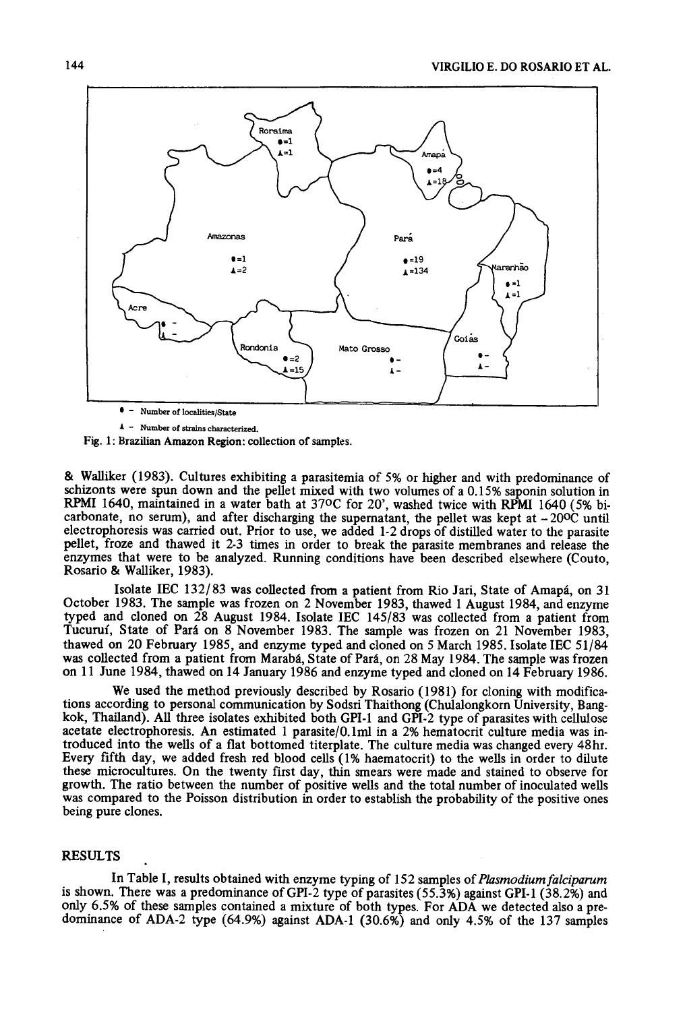

 $\triangle$  - Number of strains characterized.

Fig. 1: Brazilian Amazon Region: collection of samples.

& Walliker (1983). Cu1tures exhibiting a parasitemia of 5% or higher and with predorninance of schizonts were spun down and the pelIet mixed with two volumes of a 0.15% saponin solution in RPMI 1640, maintained in a water bath at 37oC for 20', washed twice with RPMI 1640 (5% bicarbonate, no serum), and after discharging the supernatant, the pellet was kept at  $-20^{\circ}$  until electrophoresis was carried out. Prior to use, we added 1-2 drops of distilled water to the parasite pellet, froze and thawed it 2-3 times in order to break the parasite membranes and release the enzymes that were to be analyzed. Running conditions have been described elsewhere (Couto, Rosario & Walliker, 1983).

Isolate IEC 132/83 was collected from a patient from Rio Jari, State of Amapá, on 31 October 1983. The sample was frozen on 2 November 1983, thawed 1 August 1984, and enzyme typed and cloned on  $\overline{28}$  August 1984. Isolate IEC 145/83 was collected from a patient from Tucuruí, State of Pará on 8 November 1983. The sample was frozen on 21 November 1983, thawed on 20 February 1985, and enzyme typed and cloned on 5 March 1985. Isolate IEC 51/84 was collected from a patient from Marabá, State of Pará, on 28 May 1984. The sample was frozen on 11 June 1984, thawed on 14 January 1986 and enzyme typed and cloned on 14 February 1986.

We used the method previously described by Rosario (1981) for cloning with modifications according to personal communication by Sodsri Thaithong (Chulalongkorn University, Bangkok, Thailand). AlI three isolates exhibited both GPI-1 and GPI-2 type of parasites with celIulose acetate electrophoresis. An estimated 1 parasite/O.1ml in a 2% hematocrit culture media was introduced into the welIs of a fiat bottomed titerplate. The culture media was changed every 48hr. Every fifth day, we added fresh red blood cells (1% haematocrit) to the wells in order to dilute these microcultures. On the twenty first day, thin smears were made and stained to observe for growth. The fatia between the number of positive welIs and the total number of inoculated welIs was compared to the Poisson distribution in order to establish the probability of the positive ones being pure clones.

## **RESULTS**

In Table I, results obtained with enzyme typing of 152 samples of Plasmodium falciparum is shown. There was a predominance of GPI-2 type of parasites  $(55.3%)$  against GPI-1  $(38.2%)$  and only 6.5% of these samples contained a mixture of both types. For ADA we detected also a predominance of ADA-2 type (64.9%) against ADA-l (30.6%) and only 4.5% of the 137 samples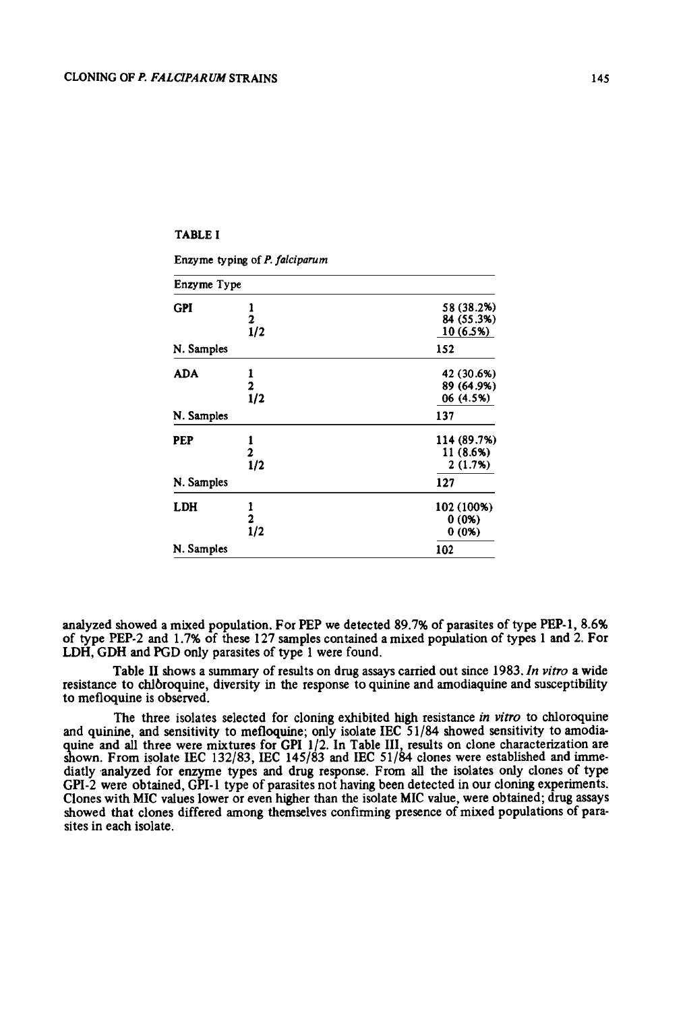## TABLEI

Enzyme typing of P. falciparum

| Enzyme Type |                  |             |  |  |  |
|-------------|------------------|-------------|--|--|--|
| <b>GPI</b>  |                  | 58 (38.2%)  |  |  |  |
|             |                  | 84 (55.3%)  |  |  |  |
|             | $\frac{2}{1/2}$  | 10 (6.5%)   |  |  |  |
| N. Samples  |                  | 152         |  |  |  |
| ADA         |                  | 42 (30.6%)  |  |  |  |
|             | 2                | 89 (64.9%)  |  |  |  |
|             | $\overline{1}/2$ | 06 (4.5%)   |  |  |  |
| N. Samples  |                  | 137         |  |  |  |
| PEP         |                  | 114 (89.7%) |  |  |  |
|             |                  | 11 (8.6%)   |  |  |  |
|             | 1/2              | 2(1.7%)     |  |  |  |
| N. Samples  |                  | 127         |  |  |  |
| LDH         |                  | 102 (100%)  |  |  |  |
|             | $\overline{c}$   | $0(0\%)$    |  |  |  |
|             | $\frac{1}{2}$    | $0(0\%)$    |  |  |  |
| N. Samples  |                  | 102         |  |  |  |

analyzed showed a mixed population. For PEP we detected 89.7% of parasites of type PEP-l, 8.6% of type PEP.2 and 1.7% of these 127 samples contained a mixed population of types 1 and 2. For LDH, GDH and PGD only parasites of type 1 were found.

Table II shows a summary of results on drug assays carried out since 1983. In vitro a wide resistance to chIbroquine, diversity in the response to quinine and amodiaquine and susceptibility to mefloquine is observed.

The three isolates selected for cloning exhibited high resistance in vitro to chloroquine and quinine, and sensitivity to mefloquine; only isolate IEC  $\overline{51/84}$  showed sensitivity to amodiaquine and all three were mixtures for GPI 1/2. In Table III, results on clone characterization are shown. From isolate IEC 132/83, IEC 145/83 and IEC  $51/84$  clones were established and immediatly analyzed for enzyme types and drug response. From all the isolates only clones of type GPI-2 were obtained, GPI-l type of parasites not having been detected in our cloning experiments. Clones with MIC values lower or even higher than the isolate MIC value, were obtained; drug assays showed that clones differed among themselves confirming presence of mixed populations of parasites in each isolate.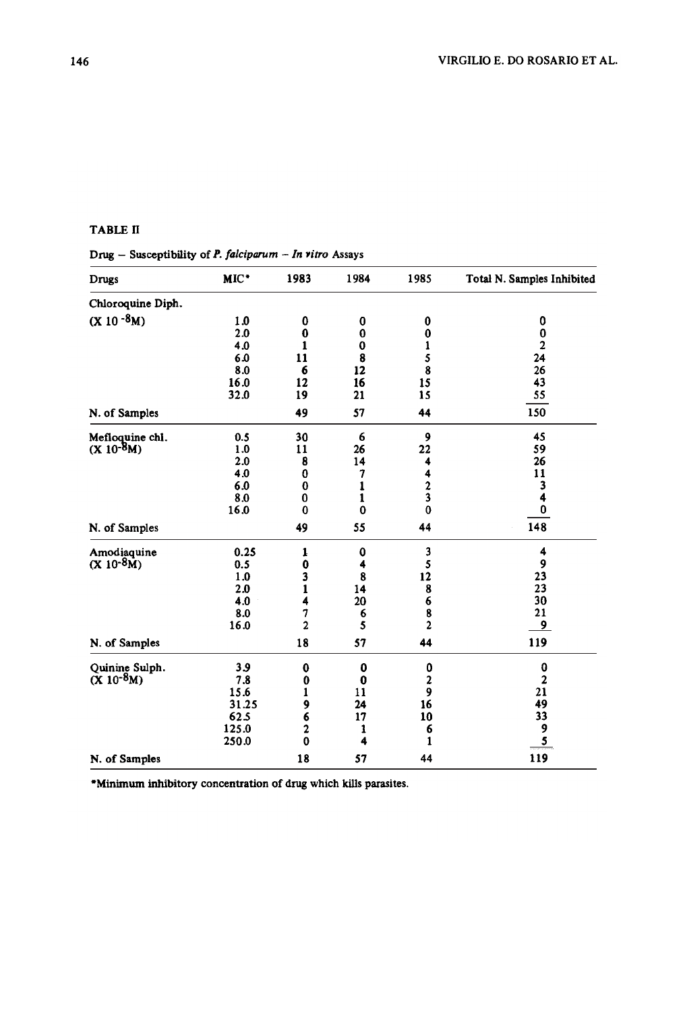# TABLE fi

Drug - Susceptibility of P. falciparum - In vitro Assays

| Drugs                             | MIC*  | 1983           | 1984     | 1985           | Total N. Samples Inhibited |
|-----------------------------------|-------|----------------|----------|----------------|----------------------------|
| Chloroquine Diph.                 |       |                |          |                |                            |
| $(X 10^{-8}M)$                    | 1.0   | 0              | 0        | 0              | 0                          |
|                                   | 2.0   | $\bf{0}$       | $\bf{0}$ | $\bf{0}$       | 0                          |
|                                   | 4.0   | 1              | $\bf{0}$ | 1              | $\overline{2}$             |
|                                   | 6.0   | 11             | 8        | $\frac{5}{8}$  | 24                         |
|                                   | 8.0   | 6              | 12       |                | 26                         |
|                                   | 16.0  | 12             | 16       | 15             | 43                         |
|                                   | 32.0  | 19             | 21       | 15             | 55                         |
| N. of Samples                     |       | 49             | 57       | 44             | 150                        |
| Mefloquine chi.<br>$(X 10^{-8}M)$ | 0.5   | 30             | 6        | 9              | 45                         |
|                                   | 1.0   | 11             | 26       | 22             | 59                         |
|                                   | 2.0   | 8              | 14       | 4              | 26                         |
|                                   | 4.0   | 0              | 7        | 4              | 11                         |
|                                   | 6.0   | $\bf{0}$       | 1        | $\frac{2}{3}$  | 3                          |
|                                   | 8.0   | $\bf{0}$       | 1        |                | 4                          |
|                                   | 16.0  | $\bf{0}$       | $\bf{0}$ | $\mathbf 0$    | 0                          |
| N. of Samples                     |       | 49             | 55       | 44             | 148                        |
| Amodiaquine                       | 0.25  | 1              | $\bf{0}$ | 3              | 4                          |
| $(X 10^{-8}M)$                    | 0.5   | 0              | 4        | 5              | 9                          |
|                                   | 1.0   | 3              | 8        | 12             | 23                         |
|                                   | 2.0   | $\mathbf{1}$   | 14       | 8              | 23                         |
|                                   | 4.0   | 4              | 20       | 6              | 30                         |
|                                   | 8.0   | 7              | 6        | 8              | 21                         |
|                                   | 16.0  | $\overline{a}$ | 5        | $\overline{2}$ | 9                          |
| N. of Samples                     |       | 18             | 57       | 44             | 119                        |
| Quinine Sulph.<br>$(X 10^{-8}M)$  | 3.9   | $\bf{0}$       | 0        | 0              | 0                          |
|                                   | 7.8   | 0              | $\bf{0}$ | $\frac{2}{9}$  | 2                          |
|                                   | 15.6  | 1              | 11       |                | 21                         |
|                                   | 31.25 | 9              | 24       | 16             | 49                         |
|                                   | 62.5  | 6              | 17       | 10             | 33                         |
|                                   | 125.0 | 2              | 1        | 6              | 9                          |
|                                   | 250.0 | $\bf{0}$       | 4        | $\mathbf{1}$   | <u>5</u>                   |
| N. of Samples                     |       | 18             | 57       | 44             | 119                        |

\*Minimum inhibitory concentration oi drug which kills parasites.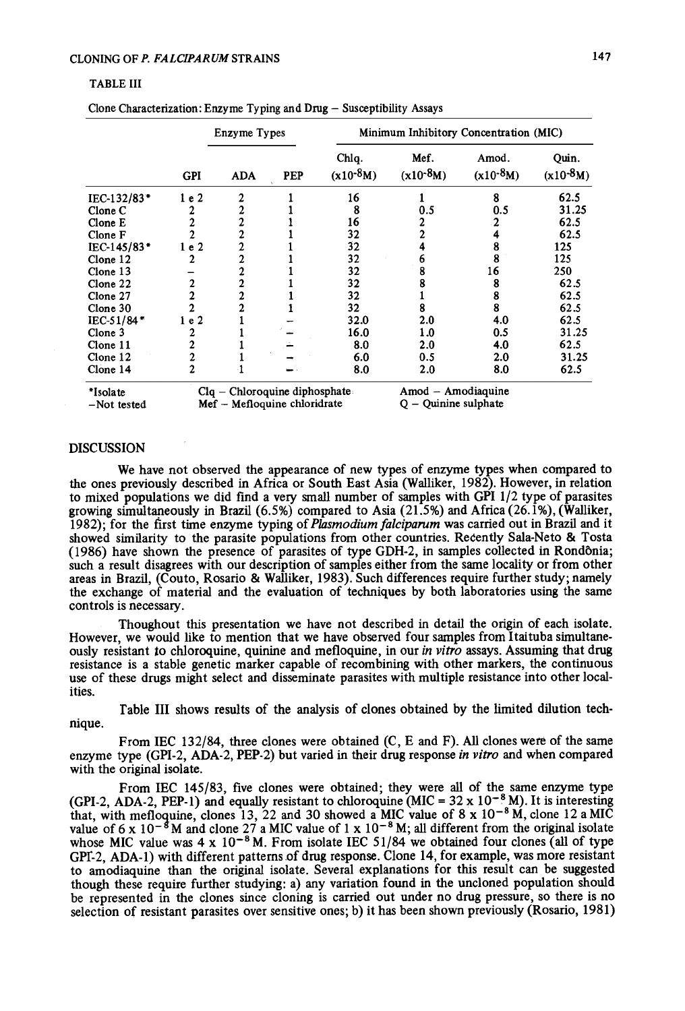#### TABLE 111

|                         | Enzyme Types   |                                                               |     | Minimum Inhibitory Concentration (MIC) |                                              |                        |                        |
|-------------------------|----------------|---------------------------------------------------------------|-----|----------------------------------------|----------------------------------------------|------------------------|------------------------|
|                         | <b>GPI</b>     | <b>ADA</b>                                                    | PEP | Chlq.<br>$(x10^{-8}M)$                 | Mef.<br>$(x10^{-8}M)$                        | Amod.<br>$(x10^{-8}M)$ | Quin.<br>$(x10^{-8}M)$ |
| IEC-132/83*             | 1e2            | 2                                                             |     | 16                                     |                                              | 8                      | 62.5                   |
| Clone C                 |                | 2                                                             |     | 8                                      | 0.5                                          | 0.5                    | 31.25                  |
| Clone E                 | 2              | $\boldsymbol{2}$                                              |     | 16                                     | 2                                            | 2                      | 62.5                   |
| Clone F                 |                | 2                                                             |     | 32                                     |                                              |                        | 62.5                   |
| IEC-145/83*             | 1e2            | $\overline{c}$                                                |     | 32                                     |                                              | 8                      | 125                    |
| Clone 12                |                | 2                                                             |     | 32                                     | D                                            | 8                      | 125                    |
| Clone 13                |                | 2                                                             |     | 32                                     |                                              | 16                     | 250                    |
| Clone 22                | 2              | $\overline{2}$                                                |     | 32                                     |                                              | 8                      | 62.5                   |
| Clone 27                | $\overline{2}$ | 2                                                             |     | 32                                     |                                              | 8                      | 62.5                   |
| Clone 30                | $\overline{2}$ | $\overline{c}$                                                |     | 32                                     | 8                                            | 8                      | 62.5                   |
| IEC-51/84*              | 1e2            |                                                               |     | 32.0                                   | 2.0                                          | 4.0                    | 62.5                   |
| Clone 3                 |                |                                                               |     | 16.0                                   | 1.0                                          | 0.5                    | 31.25                  |
| Clone 11                | 2              |                                                               |     | 8.0                                    | 2.0                                          | 4.0                    | 62.5                   |
| Clone 12                | $\overline{c}$ |                                                               |     | 6.0                                    | 0.5                                          | 2.0                    | 31.25                  |
| Clone 14                | 2              |                                                               |     | 8.0                                    | 2.0                                          | 8.0                    | 62.5                   |
| *Isolate<br>-Not tested |                | Clq - Chloroquine diphosphate<br>Mef – Mefloquine chloridrate |     |                                        | Amod - Amodiaquine<br>$Q -$ Quinine sulphate |                        |                        |

Clone Characterization: Enzyme Typing and Drug - Susceptibility Assays

#### DISCUSSION

We have not observed the appearance of new types of enzyme types when compared to the ones previous1y described in Africa or South East Asia (Walliker, 1982). However, in relation to mixed populations we did find a very small number of samples with GPI 1/2 type of parasites growing simultaneously in Brazil (6.5%) compared to Asia (21.5%) and Africa (26.1%), (Walliker, 1982); for the first time enzyme typing of Plasmodium falciparum was carried out in Brazil and it Showed similarity to the parasite populations from other countries. Recently Sala-Neto & Tosta (1986) have shown the presence of parasites of type GDH-2, in samples collected in Rondônia; such a result disagrees with our description of samples either from the same locality or from other areas in Brazil, (Couto, Rosario & Walliker, 1983). Such differences require further study; namely the exchange of material and the evaluation of techniques by both laboratories using the same controls is necessary.

Thoughout this presentation we have not described in detail the origin of each isolate. However, we would like to mention that we have observed four samples from Itaituba simultaneously resistant to chloroquine, quinine and mefloquine, in our in vitro assays. Assuming that drug resistance is a stable genetic marker capable of recombining with other markers, the continuous use of these drugs might select and disseminate parasites with multiple resistance into other localities.

Table III shows results of the analysis of clones obtained by the limited dilution technique.

From IEC 132/84, three clones were obtained (C, E and F). AlI clones were of the same enzyme type (GPI-2, ADA-2, PEP-2) but varied in their drug response in vitro and when compared with the original isolate.

From IEC 145/83, five clones were obtained; they were alI of the same enzyme type (GPI-2, ADA-2, PEP-1) and equally resistant to chloroquine (MIC =  $32 \times 10^{-8}$  M). It is interesting that, with mefloquine, clones 13, 22 and 30 showed a MIC value of 8 x  $10^{-8}$  M, clone 12 a MIC value of  $6 \times 10^{-8}$  M and clone 27 a MIC value of 1 x  $10^{-8}$  M; all different from the original isolate whose MIC value was  $4 \times 10^{-8}$  M. From isolate IEC 51/84 we obtained four clones (all of type GPf-2, ADA-l) with different patterns of drug response. Clone 14, for example, was more resistant to amodiaquine than the original isolate. Several explanations for this result can be suggested though these require further studying: a) any variation found in the uncloned population should be represented in the clones since cloning is carried out under no drug pressure, so there is no selection of resistant parasites over sensitive ones; b) it has been shown previously (Rosario, 1981)